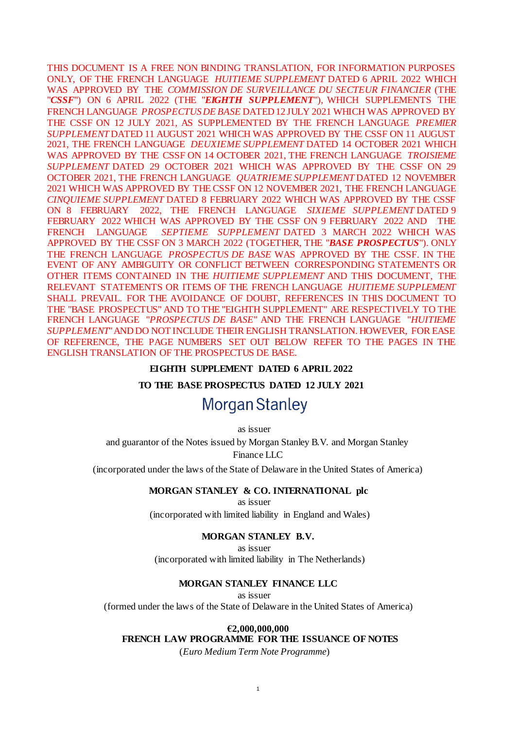THIS DOCUMENT IS A FREE NON BINDING TRANSLATION, FOR INFORMATION PURPOSES ONLY, OF THE FRENCH LANGUAGE *HUITIEME SUPPLEMENT* DATED 6 APRIL 2022 WHICH WAS APPROVED BY THE *COMMISSION DE SURVEILLANCE DU SECTEUR FINANCIER* (THE "*CSSF*") ON 6 APRIL 2022 (THE "*EIGHTH SUPPLEMENT*"), WHICH SUPPLEMENTS THE FRENCH LANGUAGE *PROSPECTUS DE BASE* DATED 12 JULY 2021 WHICH WAS APPROVED BY THE CSSF ON 12 JULY 2021, AS SUPPLEMENTED BY THE FRENCH LANGUAGE *PREMIER SUPPLEMENT* DATED 11 AUGUST 2021 WHICH WAS APPROVED BY THE CSSF ON 11 AUGUST 2021, THE FRENCH LANGUAGE *DEUXIEME SUPPLEMENT* DATED 14 OCTOBER 2021 WHICH WAS APPROVED BY THE CSSF ON 14 OCTOBER 2021, THE FRENCH LANGUAGE *TROISIEME SUPPLEMENT* DATED 29 OCTOBER 2021 WHICH WAS APPROVED BY THE CSSF ON 29 OCTOBER 2021, THE FRENCH LANGUAGE *QUATRIEME SUPPLEMENT* DATED 12 NOVEMBER 2021 WHICH WAS APPROVED BY THE CSSF ON 12 NOVEMBER 2021, THE FRENCH LANGUAGE *CINQUIEME SUPPLEMENT* DATED 8 FEBRUARY 2022 WHICH WAS APPROVED BY THE CSSF ON 8 FEBRUARY 2022, THE FRENCH LANGUAGE *SIXIEME SUPPLEMENT* DATED 9 FEBRUARY 2022 WHICH WAS APPROVED BY THE CSSF ON 9 FEBRUARY 2022 AND THE FRENCH LANGUAGE *SEPTIEME SUPPLEMENT* DATED 3 MARCH 2022 WHICH WAS APPROVED BY THE CSSF ON 3 MARCH 2022 (TOGETHER, THE "*BASE PROSPECTUS*"). ONLY THE FRENCH LANGUAGE *PROSPECTUS DE BASE* WAS APPROVED BY THE CSSF. IN THE EVENT OF ANY AMBIGUITY OR CONFLICT BETWEEN CORRESPONDING STATEMENTS OR OTHER ITEMS CONTAINED IN THE *HUITIEME SUPPLEMENT* AND THIS DOCUMENT, THE RELEVANT STATEMENTS OR ITEMS OF THE FRENCH LANGUAGE *HUITIEME SUPPLEMENT*  SHALL PREVAIL. FOR THE AVOIDANCE OF DOUBT, REFERENCES IN THIS DOCUMENT TO THE "BASE PROSPECTUS" AND TO THE "EIGHTH SUPPLEMENT" ARE RESPECTIVELY TO THE FRENCH LANGUAGE "*PROSPECTUS DE BASE*" AND THE FRENCH LANGUAGE "*HUITIEME SUPPLEMENT*" AND DO NOT INCLUDE THEIR ENGLISH TRANSLATION. HOWEVER, FOR EASE OF REFERENCE, THE PAGE NUMBERS SET OUT BELOW REFER TO THE PAGES IN THE ENGLISH TRANSLATION OF THE PROSPECTUS DE BASE.

#### **EIGHTH SUPPLEMENT DATED 6 APRIL 2022**

## **TO THE BASE PROSPECTUS DATED 12 JULY 2021**

# **Morgan Stanley**

as issuer

and guarantor of the Notes issued by Morgan Stanley B.V. and Morgan Stanley Finance LLC

(incorporated under the laws of the State of Delaware in the United States of America)

#### **MORGAN STANLEY & CO. INTERNATIONAL plc**

as issuer

(incorporated with limited liability in England and Wales)

### **MORGAN STANLEY B.V.**

as issuer

(incorporated with limited liability in The Netherlands)

### **MORGAN STANLEY FINANCE LLC**

as issuer

(formed under the laws of the State of Delaware in the United States of America)

# **€2,000,000,000**

**FRENCH LAW PROGRAMME FOR THE ISSUANCE OF NOTES**

(*Euro Medium Term Note Programme*)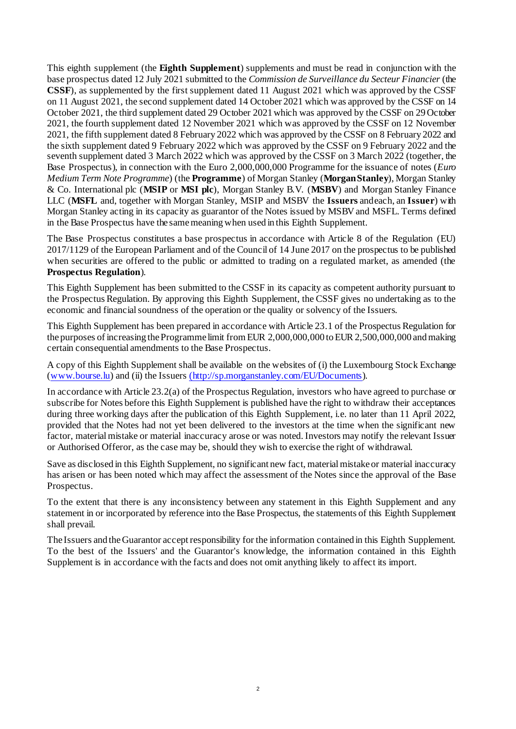This eighth supplement (the **Eighth Supplement**) supplements and must be read in conjunction with the base prospectus dated 12 July 2021 submitted to the *Commission de Surveillance du Secteur Financier* (the **CSSF**), as supplemented by the first supplement dated 11 August 2021 which was approved by the CSSF on 11 August 2021, the second supplement dated 14 October 2021 which was approved by the CSSF on 14 October 2021, the third supplement dated 29 October 2021 which was approved by the CSSF on 29 October 2021, the fourth supplement dated 12 November 2021 which was approved by the CSSF on 12 November 2021, the fifth supplement dated 8 February 2022 which was approved by the CSSF on 8 February 2022 and the sixth supplement dated 9 February 2022 which was approved by the CSSF on 9 February 2022 and the seventh supplement dated 3 March 2022 which was approved by the CSSF on 3 March 2022 (together, the Base Prospectus), in connection with the Euro 2,000,000,000 Programme for the issuance of notes (*Euro Medium Term Note Programme*) (the **Programme**) of Morgan Stanley (**MorganStanley**), Morgan Stanley & Co. International plc (**MSIP** or **MSI plc**), Morgan Stanley B.V. (**MSBV**) and Morgan Stanley Finance LLC (**MSFL** and, together with Morgan Stanley, MSIP and MSBV the **Issuers** andeach, an **Issuer**) with Morgan Stanley acting in its capacity as guarantor of the Notes issued by MSBV and MSFL. Terms defined in the Base Prospectus have the same meaning when used in this Eighth Supplement.

The Base Prospectus constitutes a base prospectus in accordance with Article 8 of the Regulation (EU) 2017/1129 of the European Parliament and of the Council of 14 June 2017 on the prospectus to be published when securities are offered to the public or admitted to trading on a regulated market, as amended (the **Prospectus Regulation**).

This Eighth Supplement has been submitted to the CSSF in its capacity as competent authority pursuant to the Prospectus Regulation. By approving this Eighth Supplement, the CSSF gives no undertaking as to the economic and financial soundness of the operation or the quality or solvency of the Issuers.

This Eighth Supplement has been prepared in accordance with Article 23.1 of the Prospectus Regulation for the purposes of increasing the Programme limit from EUR 2,000,000,000 to EUR 2,500,000,000 and making certain consequential amendments to the Base Prospectus.

A copy of this Eighth Supplement shall be available on the websites of (i) the Luxembourg Stock Exchange [\(www.bourse.lu](http://www.bourse.lu/)) and (ii) the Issuers [\(http://sp.morganstanley.com/EU/Documents](http://sp.morganstanley.com/EU/Documents)).

In accordance with Article 23.2(a) of the Prospectus Regulation, investors who have agreed to purchase or subscribe for Notes before this Eighth Supplement is published have the right to withdraw their acceptances during three working days after the publication of this Eighth Supplement, i.e. no later than 11 April 2022, provided that the Notes had not yet been delivered to the investors at the time when the significant new factor, material mistake or material inaccuracy arose or was noted. Investors may notify the relevant Issuer or Authorised Offeror, as the case may be, should they wish to exercise the right of withdrawal.

Save as disclosed in this Eighth Supplement, no significant new fact, material mistake or material inaccuracy has arisen or has been noted which may affect the assessment of the Notes since the approval of the Base Prospectus.

To the extent that there is any inconsistency between any statement in this Eighth Supplement and any statement in or incorporated by reference into the Base Prospectus, the statements of this Eighth Supplement shall prevail.

The Issuers and theGuarantor acceptresponsibility for the information contained in this Eighth Supplement. To the best of the Issuers' and the Guarantor's knowledge, the information contained in this Eighth Supplement is in accordance with the facts and does not omit anything likely to affect its import.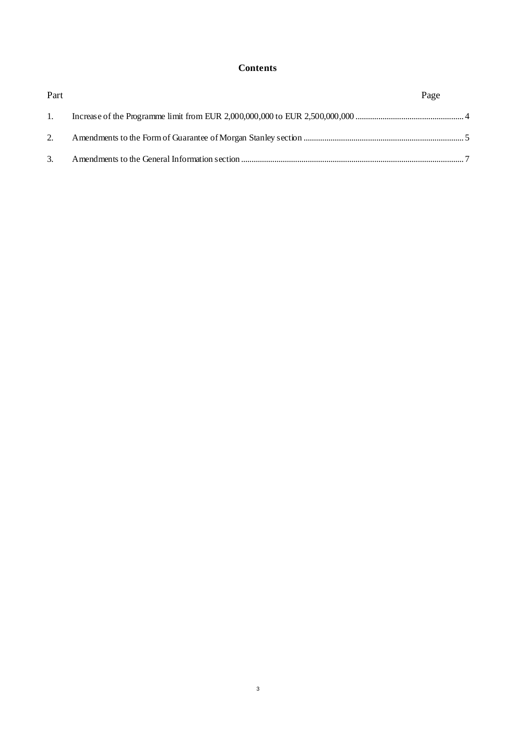# **Contents**

| Part           | Page |  |
|----------------|------|--|
| $\mathbf{1}$ . |      |  |
| 2.             |      |  |
| 3.             |      |  |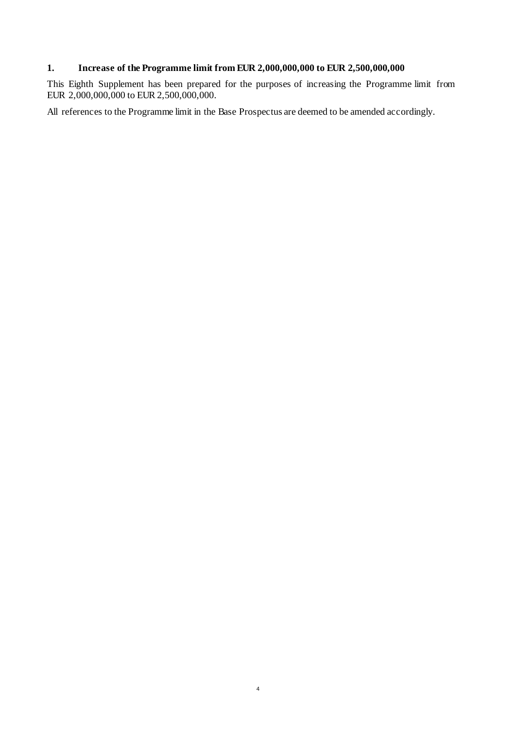# <span id="page-3-0"></span>**1. Increase of the Programme limit from EUR 2,000,000,000 to EUR 2,500,000,000**

This Eighth Supplement has been prepared for the purposes of increasing the Programme limit from EUR 2,000,000,000 to EUR 2,500,000,000.

All references to the Programme limit in the Base Prospectus are deemed to be amended accordingly.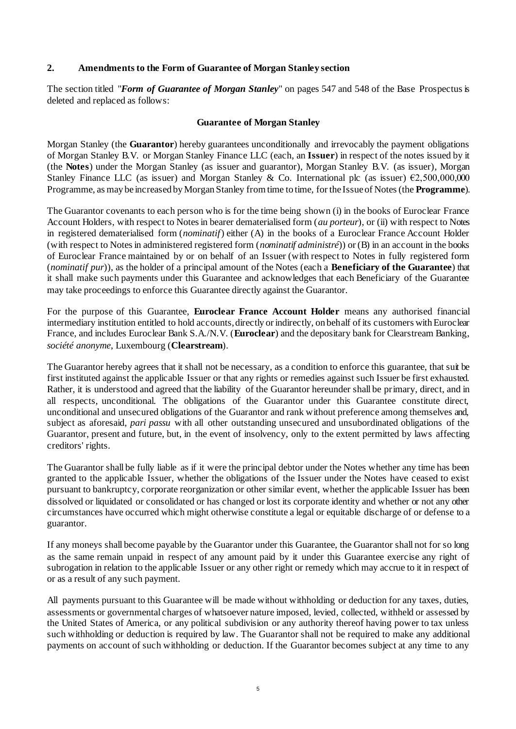## <span id="page-4-0"></span>**2. Amendments to the Form of Guarantee of Morgan Stanley section**

The section titled "*Form of Guarantee of Morgan Stanley*" on pages 547 and 548 of the Base Prospectus is deleted and replaced as follows:

## **Guarantee of Morgan Stanley**

Morgan Stanley (the **Guarantor**) hereby guarantees unconditionally and irrevocably the payment obligations of Morgan Stanley B.V. or Morgan Stanley Finance LLC (each, an **Issuer**) in respect of the notes issued by it (the **Notes**) under the Morgan Stanley (as issuer and guarantor), Morgan Stanley B.V. (as issuer), Morgan Stanley Finance LLC (as issuer) and Morgan Stanley & Co. International plc (as issuer)  $\epsilon$ 2,500,000,000 Programme, as may be increased by Morgan Stanley from time to time, for the Issue of Notes (the **Programme**).

The Guarantor covenants to each person who is for the time being shown (i) in the books of Euroclear France Account Holders, with respect to Notes in bearer dematerialised form (*au porteur*), or (ii) with respect to Notes in registered dematerialised form (*nominatif*) either (A) in the books of a Euroclear France Account Holder (with respect to Notes in administered registered form (*nominatif administré*)) or (B) in an account in the books of Euroclear France maintained by or on behalf of an Issuer (with respect to Notes in fully registered form (*nominatif pur*)), as the holder of a principal amount of the Notes (each a **Beneficiary of the Guarantee**) that it shall make such payments under this Guarantee and acknowledges that each Beneficiary of the Guarantee may take proceedings to enforce this Guarantee directly against the Guarantor.

For the purpose of this Guarantee, **Euroclear France Account Holder** means any authorised financial intermediary institution entitled to hold accounts, directly or indirectly, on behalf of its customers with Euroclear France, and includes Euroclear Bank S.A./N.V. (**Euroclear**) and the depositary bank for Clearstream Banking, *société anonyme*, Luxembourg (**Clearstream**).

The Guarantor hereby agrees that it shall not be necessary, as a condition to enforce this guarantee, that suit be first instituted against the applicable Issuer or that any rights or remedies against such Issuer be first exhausted. Rather, it is understood and agreed that the liability of the Guarantor hereunder shall be primary, direct, and in all respects, unconditional. The obligations of the Guarantor under this Guarantee constitute direct, unconditional and unsecured obligations of the Guarantor and rank without preference among themselves and, subject as aforesaid, *pari passu* with all other outstanding unsecured and unsubordinated obligations of the Guarantor, present and future, but, in the event of insolvency, only to the extent permitted by laws affecting creditors' rights.

The Guarantor shall be fully liable as if it were the principal debtor under the Notes whether any time has been granted to the applicable Issuer, whether the obligations of the Issuer under the Notes have ceased to exist pursuant to bankruptcy, corporate reorganization or other similar event, whether the applicable Issuer has been dissolved or liquidated or consolidated or has changed or lost its corporate identity and whether or not any other circumstances have occurred which might otherwise constitute a legal or equitable discharge of or defense to a guarantor.

If any moneys shall become payable by the Guarantor under this Guarantee, the Guarantor shall not for so long as the same remain unpaid in respect of any amount paid by it under this Guarantee exercise any right of subrogation in relation to the applicable Issuer or any other right or remedy which may accrue to it in respect of or as a result of any such payment.

All payments pursuant to this Guarantee will be made without withholding or deduction for any taxes, duties, assessments or governmental charges of whatsoever nature imposed, levied, collected, withheld or assessed by the United States of America, or any political subdivision or any authority thereof having power to tax unless such withholding or deduction is required by law. The Guarantor shall not be required to make any additional payments on account of such withholding or deduction. If the Guarantor becomes subject at any time to any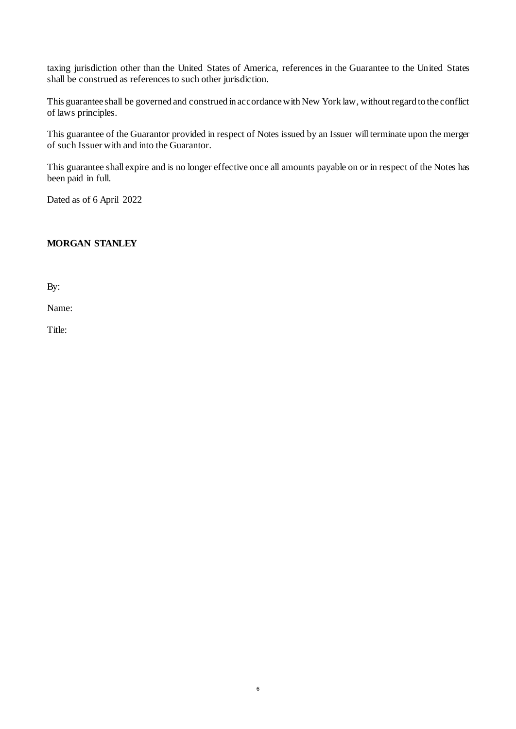taxing jurisdiction other than the United States of America, references in the Guarantee to the United States shall be construed as references to such other jurisdiction.

This guarantee shall be governed and construed in accordance with New York law, without regard to the conflict of laws principles.

This guarantee of the Guarantor provided in respect of Notes issued by an Issuer will terminate upon the merger of such Issuer with and into the Guarantor.

This guarantee shall expire and is no longer effective once all amounts payable on or in respect of the Notes has been paid in full.

Dated as of 6 April 2022

# **MORGAN STANLEY**

By:

Name:

Title: